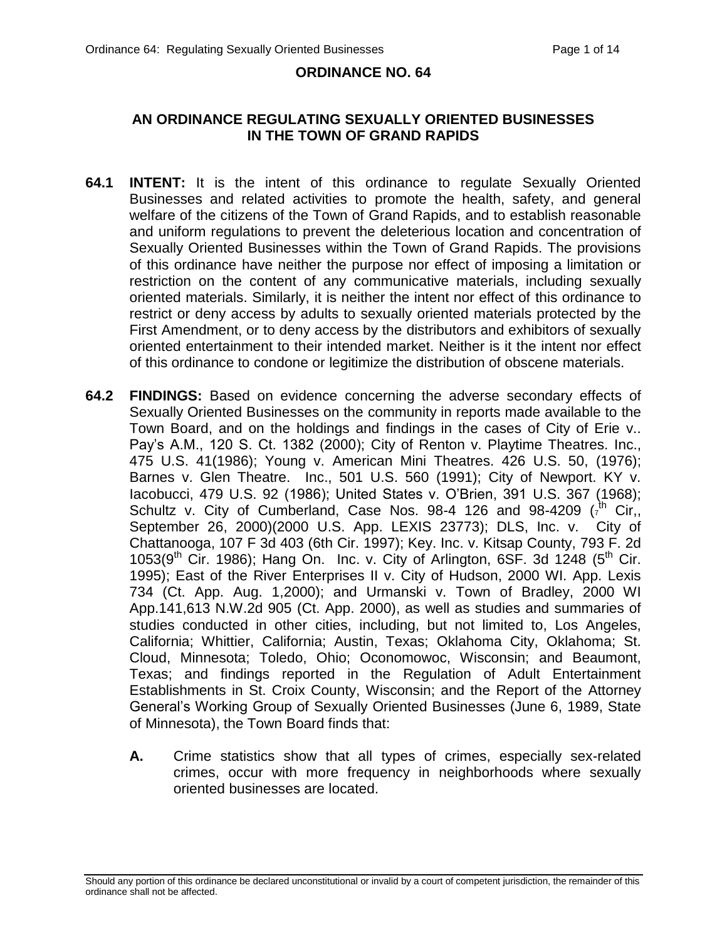#### **ORDINANCE NO. 64**

#### **AN ORDINANCE REGULATING SEXUALLY ORIENTED BUSINESSES IN THE TOWN OF GRAND RAPIDS**

- **64.1 INTENT:** It is the intent of this ordinance to regulate Sexually Oriented Businesses and related activities to promote the health, safety, and general welfare of the citizens of the Town of Grand Rapids, and to establish reasonable and uniform regulations to prevent the deleterious location and concentration of Sexually Oriented Businesses within the Town of Grand Rapids. The provisions of this ordinance have neither the purpose nor effect of imposing a limitation or restriction on the content of any communicative materials, including sexually oriented materials. Similarly, it is neither the intent nor effect of this ordinance to restrict or deny access by adults to sexually oriented materials protected by the First Amendment, or to deny access by the distributors and exhibitors of sexually oriented entertainment to their intended market. Neither is it the intent nor effect of this ordinance to condone or legitimize the distribution of obscene materials.
- **64.2 FINDINGS:** Based on evidence concerning the adverse secondary effects of Sexually Oriented Businesses on the community in reports made available to the Town Board, and on the holdings and findings in the cases of City of Erie v.. Pay's A.M., 120 S. Ct. 1382 (2000); City of Renton v. Playtime Theatres. Inc., 475 U.S. 41(1986); Young v. American Mini Theatres. 426 U.S. 50, (1976); Barnes v. Glen Theatre. Inc., 501 U.S. 560 (1991); City of Newport. KY v. Iacobucci, 479 U.S. 92 (1986); United States v. O'Brien, 391 U.S. 367 (1968); Schultz v. City of Cumberland, Case Nos. 98-4 126 and 98-4209  $(r^{\text{th}})$  Cir,, September 26, 2000)(2000 U.S. App. LEXIS 23773); DLS, Inc. v. City of Chattanooga, 107 F 3d 403 (6th Cir. 1997); Key. Inc. v. Kitsap County, 793 F. 2d  $1053(9<sup>th</sup>$  Cir. 1986); Hang On. Inc. v. City of Arlington, 6SF. 3d 1248 ( $5<sup>th</sup>$  Cir. 1995); East of the River Enterprises II v. City of Hudson, 2000 WI. App. Lexis 734 (Ct. App. Aug. 1,2000); and Urmanski v. Town of Bradley, 2000 WI App.141,613 N.W.2d 905 (Ct. App. 2000), as well as studies and summaries of studies conducted in other cities, including, but not limited to, Los Angeles, California; Whittier, California; Austin, Texas; Oklahoma City, Oklahoma; St. Cloud, Minnesota; Toledo, Ohio; Oconomowoc, Wisconsin; and Beaumont, Texas; and findings reported in the Regulation of Adult Entertainment Establishments in St. Croix County, Wisconsin; and the Report of the Attorney General's Working Group of Sexually Oriented Businesses (June 6, 1989, State of Minnesota), the Town Board finds that:
	- **A.** Crime statistics show that all types of crimes, especially sex-related crimes, occur with more frequency in neighborhoods where sexually oriented businesses are located.

Should any portion of this ordinance be declared unconstitutional or invalid by a court of competent jurisdiction, the remainder of this ordinance shall not be affected.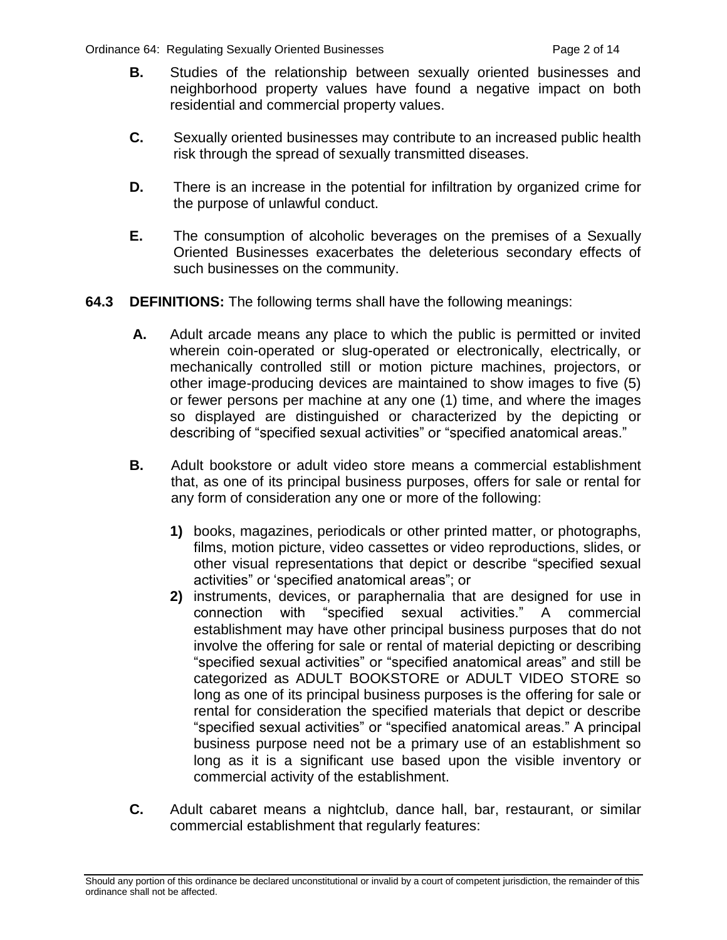- **B.** Studies of the relationship between sexually oriented businesses and neighborhood property values have found a negative impact on both residential and commercial property values.
- **C.** Sexually oriented businesses may contribute to an increased public health risk through the spread of sexually transmitted diseases.
- **D.** There is an increase in the potential for infiltration by organized crime for the purpose of unlawful conduct.
- **E.** The consumption of alcoholic beverages on the premises of a Sexually Oriented Businesses exacerbates the deleterious secondary effects of such businesses on the community.
- **64.3 DEFINITIONS:** The following terms shall have the following meanings:
	- **A.** Adult arcade means any place to which the public is permitted or invited wherein coin-operated or slug-operated or electronically, electrically, or mechanically controlled still or motion picture machines, projectors, or other image-producing devices are maintained to show images to five (5) or fewer persons per machine at any one (1) time, and where the images so displayed are distinguished or characterized by the depicting or describing of "specified sexual activities" or "specified anatomical areas."
	- **B.** Adult bookstore or adult video store means a commercial establishment that, as one of its principal business purposes, offers for sale or rental for any form of consideration any one or more of the following:
		- **1)** books, magazines, periodicals or other printed matter, or photographs, films, motion picture, video cassettes or video reproductions, slides, or other visual representations that depict or describe "specified sexual activities" or 'specified anatomical areas"; or
		- **2)** instruments, devices, or paraphernalia that are designed for use in connection with "specified sexual activities." A commercial establishment may have other principal business purposes that do not involve the offering for sale or rental of material depicting or describing "specified sexual activities" or "specified anatomical areas" and still be categorized as ADULT BOOKSTORE or ADULT VIDEO STORE so long as one of its principal business purposes is the offering for sale or rental for consideration the specified materials that depict or describe "specified sexual activities" or "specified anatomical areas." A principal business purpose need not be a primary use of an establishment so long as it is a significant use based upon the visible inventory or commercial activity of the establishment.
	- **C.** Adult cabaret means a nightclub, dance hall, bar, restaurant, or similar commercial establishment that regularly features:

Should any portion of this ordinance be declared unconstitutional or invalid by a court of competent jurisdiction, the remainder of this ordinance shall not be affected.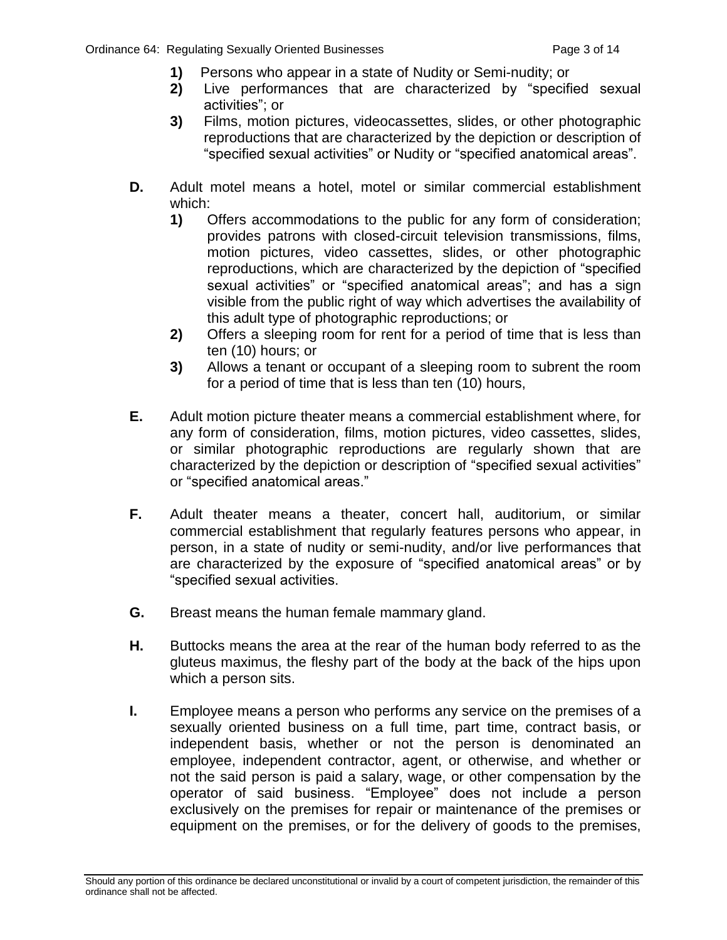- **1)** Persons who appear in a state of Nudity or Semi-nudity; or
- **2)** Live performances that are characterized by "specified sexual activities"; or
- **3)** Films, motion pictures, videocassettes, slides, or other photographic reproductions that are characterized by the depiction or description of "specified sexual activities" or Nudity or "specified anatomical areas".
- **D.** Adult motel means a hotel, motel or similar commercial establishment which:
	- **1)** Offers accommodations to the public for any form of consideration; provides patrons with closed-circuit television transmissions, films, motion pictures, video cassettes, slides, or other photographic reproductions, which are characterized by the depiction of "specified sexual activities" or "specified anatomical areas"; and has a sign visible from the public right of way which advertises the availability of this adult type of photographic reproductions; or
	- **2)** Offers a sleeping room for rent for a period of time that is less than ten (10) hours; or
	- **3)** Allows a tenant or occupant of a sleeping room to subrent the room for a period of time that is less than ten (10) hours,
- **E.** Adult motion picture theater means a commercial establishment where, for any form of consideration, films, motion pictures, video cassettes, slides, or similar photographic reproductions are regularly shown that are characterized by the depiction or description of "specified sexual activities" or "specified anatomical areas."
- **F.** Adult theater means a theater, concert hall, auditorium, or similar commercial establishment that regularly features persons who appear, in person, in a state of nudity or semi-nudity, and/or live performances that are characterized by the exposure of "specified anatomical areas" or by "specified sexual activities.
- **G.** Breast means the human female mammary gland.
- **H.** Buttocks means the area at the rear of the human body referred to as the gluteus maximus, the fleshy part of the body at the back of the hips upon which a person sits.
- **I.** Employee means a person who performs any service on the premises of a sexually oriented business on a full time, part time, contract basis, or independent basis, whether or not the person is denominated an employee, independent contractor, agent, or otherwise, and whether or not the said person is paid a salary, wage, or other compensation by the operator of said business. "Employee" does not include a person exclusively on the premises for repair or maintenance of the premises or equipment on the premises, or for the delivery of goods to the premises,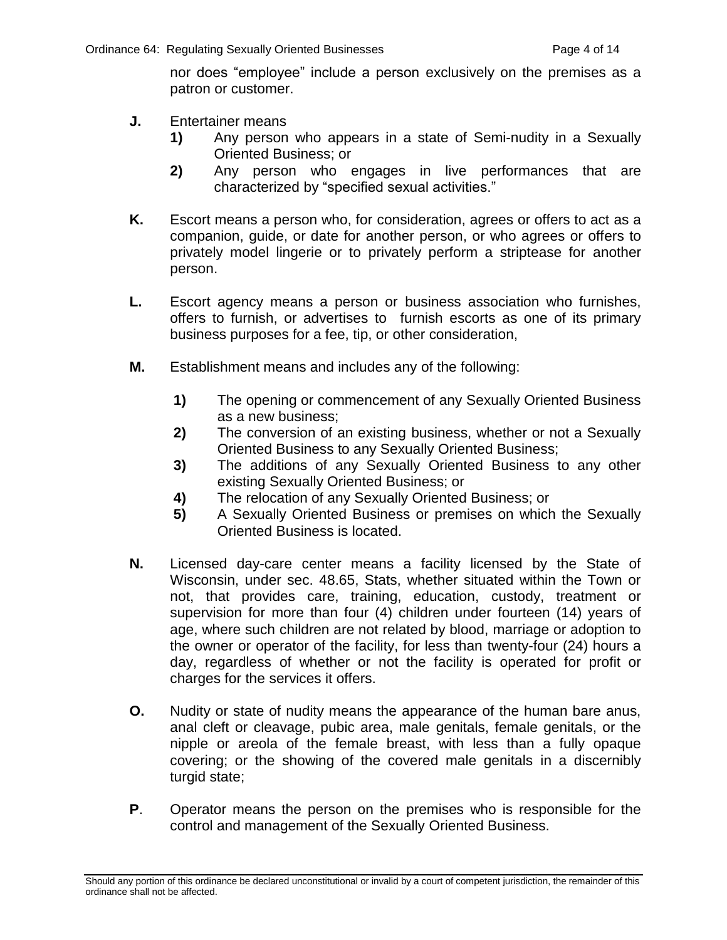nor does "employee" include a person exclusively on the premises as a patron or customer.

- **J.** Entertainer means
	- **1)** Any person who appears in a state of Semi-nudity in a Sexually Oriented Business; or
	- **2)** Any person who engages in live performances that are characterized by "specified sexual activities."
- **K.** Escort means a person who, for consideration, agrees or offers to act as a companion, guide, or date for another person, or who agrees or offers to privately model lingerie or to privately perform a striptease for another person.
- **L.** Escort agency means a person or business association who furnishes, offers to furnish, or advertises to furnish escorts as one of its primary business purposes for a fee, tip, or other consideration,
- **M.** Establishment means and includes any of the following:
	- **1)** The opening or commencement of any Sexually Oriented Business as a new business;
	- **2)** The conversion of an existing business, whether or not a Sexually Oriented Business to any Sexually Oriented Business;
	- **3)** The additions of any Sexually Oriented Business to any other existing Sexually Oriented Business; or
	- **4)** The relocation of any Sexually Oriented Business; or
	- **5)** A Sexually Oriented Business or premises on which the Sexually Oriented Business is located.
- **N.** Licensed day-care center means a facility licensed by the State of Wisconsin, under sec. 48.65, Stats, whether situated within the Town or not, that provides care, training, education, custody, treatment or supervision for more than four (4) children under fourteen (14) years of age, where such children are not related by blood, marriage or adoption to the owner or operator of the facility, for less than twenty-four (24) hours a day, regardless of whether or not the facility is operated for profit or charges for the services it offers.
- **O.** Nudity or state of nudity means the appearance of the human bare anus, anal cleft or cleavage, pubic area, male genitals, female genitals, or the nipple or areola of the female breast, with less than a fully opaque covering; or the showing of the covered male genitals in a discernibly turgid state;
- **P**. Operator means the person on the premises who is responsible for the control and management of the Sexually Oriented Business.

Should any portion of this ordinance be declared unconstitutional or invalid by a court of competent jurisdiction, the remainder of this ordinance shall not be affected.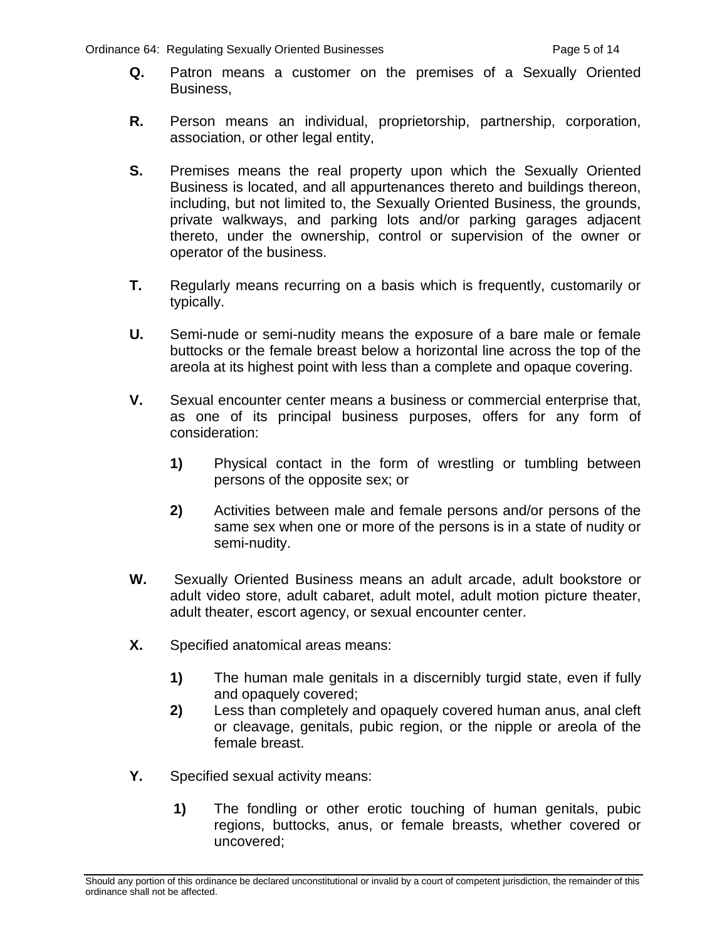- **Q.** Patron means a customer on the premises of a Sexually Oriented Business,
- **R.** Person means an individual, proprietorship, partnership, corporation, association, or other legal entity,
- **S.** Premises means the real property upon which the Sexually Oriented Business is located, and all appurtenances thereto and buildings thereon, including, but not limited to, the Sexually Oriented Business, the grounds, private walkways, and parking lots and/or parking garages adjacent thereto, under the ownership, control or supervision of the owner or operator of the business.
- **T.** Regularly means recurring on a basis which is frequently, customarily or typically.
- **U.** Semi-nude or semi-nudity means the exposure of a bare male or female buttocks or the female breast below a horizontal line across the top of the areola at its highest point with less than a complete and opaque covering.
- **V.** Sexual encounter center means a business or commercial enterprise that, as one of its principal business purposes, offers for any form of consideration:
	- **1)** Physical contact in the form of wrestling or tumbling between persons of the opposite sex; or
	- **2)** Activities between male and female persons and/or persons of the same sex when one or more of the persons is in a state of nudity or semi-nudity.
- **W.** Sexually Oriented Business means an adult arcade, adult bookstore or adult video store, adult cabaret, adult motel, adult motion picture theater, adult theater, escort agency, or sexual encounter center.
- **X.** Specified anatomical areas means:
	- **1)** The human male genitals in a discernibly turgid state, even if fully and opaquely covered;
	- **2)** Less than completely and opaquely covered human anus, anal cleft or cleavage, genitals, pubic region, or the nipple or areola of the female breast.
- **Y.** Specified sexual activity means:
	- **1)** The fondling or other erotic touching of human genitals, pubic regions, buttocks, anus, or female breasts, whether covered or uncovered;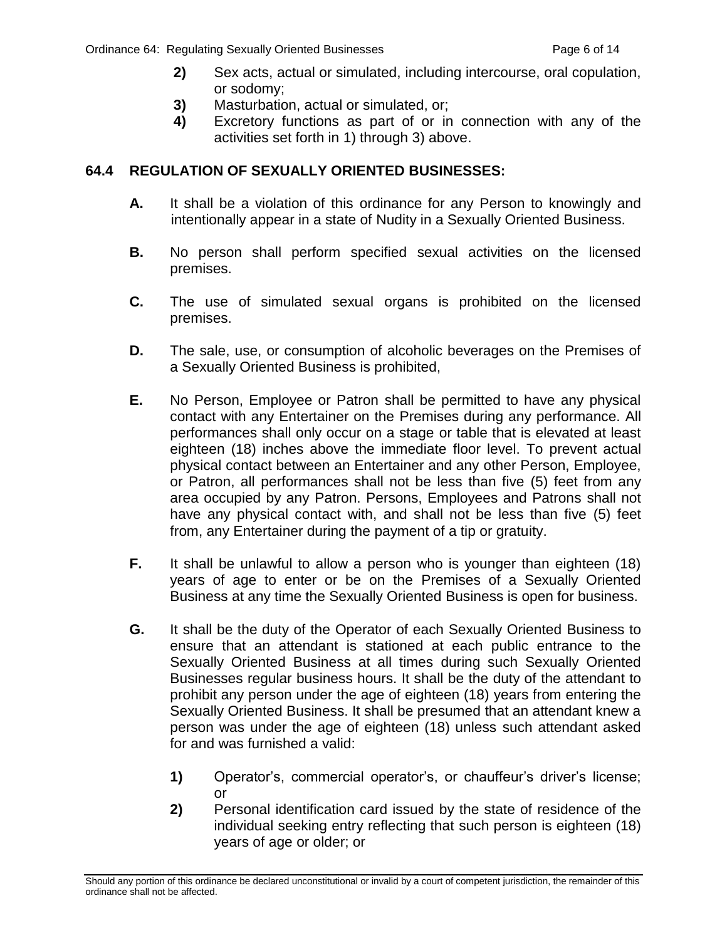- **2)** Sex acts, actual or simulated, including intercourse, oral copulation, or sodomy;
- **3)** Masturbation, actual or simulated, or;
- **4)** Excretory functions as part of or in connection with any of the activities set forth in 1) through 3) above.

#### **64.4 REGULATION OF SEXUALLY ORIENTED BUSINESSES:**

- **A.** It shall be a violation of this ordinance for any Person to knowingly and intentionally appear in a state of Nudity in a Sexually Oriented Business.
- **B.** No person shall perform specified sexual activities on the licensed premises.
- **C.** The use of simulated sexual organs is prohibited on the licensed premises.
- **D.** The sale, use, or consumption of alcoholic beverages on the Premises of a Sexually Oriented Business is prohibited,
- **E.** No Person, Employee or Patron shall be permitted to have any physical contact with any Entertainer on the Premises during any performance. All performances shall only occur on a stage or table that is elevated at least eighteen (18) inches above the immediate floor level. To prevent actual physical contact between an Entertainer and any other Person, Employee, or Patron, all performances shall not be less than five (5) feet from any area occupied by any Patron. Persons, Employees and Patrons shall not have any physical contact with, and shall not be less than five (5) feet from, any Entertainer during the payment of a tip or gratuity.
- **F.** It shall be unlawful to allow a person who is younger than eighteen (18) years of age to enter or be on the Premises of a Sexually Oriented Business at any time the Sexually Oriented Business is open for business.
- **G.** It shall be the duty of the Operator of each Sexually Oriented Business to ensure that an attendant is stationed at each public entrance to the Sexually Oriented Business at all times during such Sexually Oriented Businesses regular business hours. It shall be the duty of the attendant to prohibit any person under the age of eighteen (18) years from entering the Sexually Oriented Business. It shall be presumed that an attendant knew a person was under the age of eighteen (18) unless such attendant asked for and was furnished a valid:
	- **1)** Operator's, commercial operator's, or chauffeur's driver's license; or
	- **2)** Personal identification card issued by the state of residence of the individual seeking entry reflecting that such person is eighteen (18) years of age or older; or

Should any portion of this ordinance be declared unconstitutional or invalid by a court of competent jurisdiction, the remainder of this ordinance shall not be affected.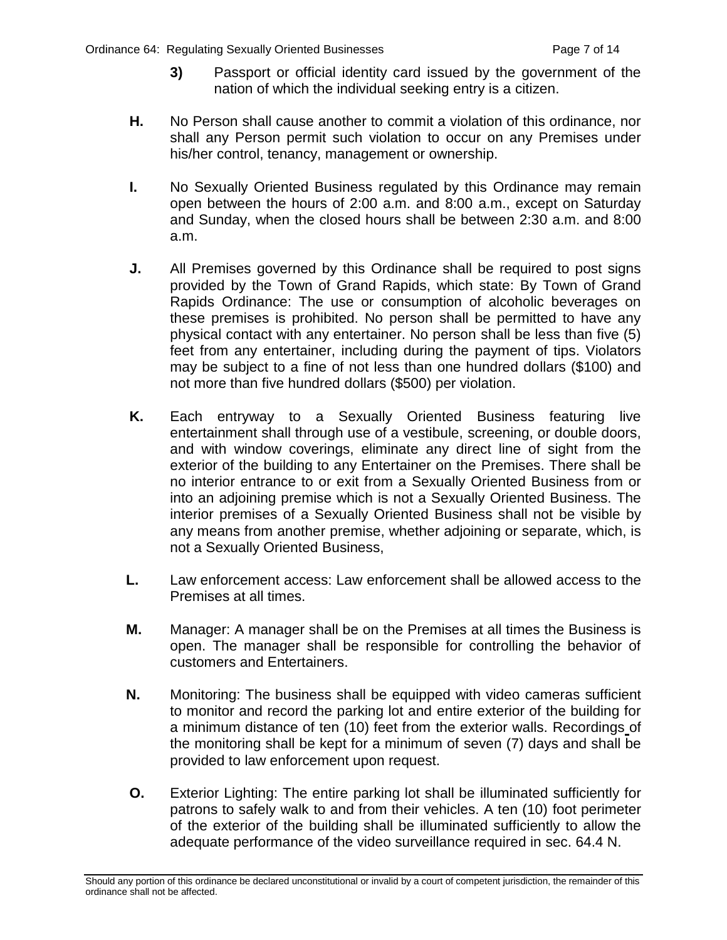- **3)** Passport or official identity card issued by the government of the nation of which the individual seeking entry is a citizen.
- **H.** No Person shall cause another to commit a violation of this ordinance, nor shall any Person permit such violation to occur on any Premises under his/her control, tenancy, management or ownership.
- **I.** No Sexually Oriented Business regulated by this Ordinance may remain open between the hours of 2:00 a.m. and 8:00 a.m., except on Saturday and Sunday, when the closed hours shall be between 2:30 a.m. and 8:00 a.m.
- **J.** All Premises governed by this Ordinance shall be required to post signs provided by the Town of Grand Rapids, which state: By Town of Grand Rapids Ordinance: The use or consumption of alcoholic beverages on these premises is prohibited. No person shall be permitted to have any physical contact with any entertainer. No person shall be less than five (5) feet from any entertainer, including during the payment of tips. Violators may be subject to a fine of not less than one hundred dollars (\$100) and not more than five hundred dollars (\$500) per violation.
- **K.** Each entryway to a Sexually Oriented Business featuring live entertainment shall through use of a vestibule, screening, or double doors, and with window coverings, eliminate any direct line of sight from the exterior of the building to any Entertainer on the Premises. There shall be no interior entrance to or exit from a Sexually Oriented Business from or into an adjoining premise which is not a Sexually Oriented Business. The interior premises of a Sexually Oriented Business shall not be visible by any means from another premise, whether adjoining or separate, which, is not a Sexually Oriented Business,
- **L.** Law enforcement access: Law enforcement shall be allowed access to the Premises at all times.
- **M.** Manager: A manager shall be on the Premises at all times the Business is open. The manager shall be responsible for controlling the behavior of customers and Entertainers.
- **N.** Monitoring: The business shall be equipped with video cameras sufficient to monitor and record the parking lot and entire exterior of the building for a minimum distance of ten (10) feet from the exterior walls. Recordings of the monitoring shall be kept for a minimum of seven (7) days and shall be provided to law enforcement upon request.
- **O.** Exterior Lighting: The entire parking lot shall be illuminated sufficiently for patrons to safely walk to and from their vehicles. A ten (10) foot perimeter of the exterior of the building shall be illuminated sufficiently to allow the adequate performance of the video surveillance required in sec. 64.4 N.

Should any portion of this ordinance be declared unconstitutional or invalid by a court of competent jurisdiction, the remainder of this ordinance shall not be affected.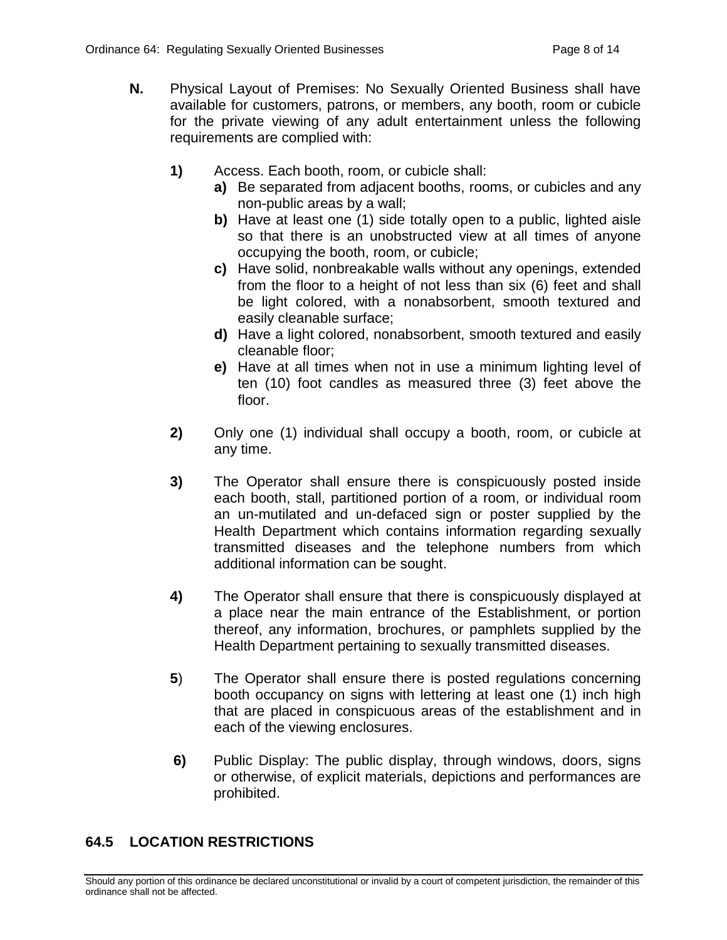- **N.** Physical Layout of Premises: No Sexually Oriented Business shall have available for customers, patrons, or members, any booth, room or cubicle for the private viewing of any adult entertainment unless the following requirements are complied with:
	- **1)** Access. Each booth, room, or cubicle shall:
		- **a)** Be separated from adjacent booths, rooms, or cubicles and any non-public areas by a wall;
		- **b)** Have at least one (1) side totally open to a public, lighted aisle so that there is an unobstructed view at all times of anyone occupying the booth, room, or cubicle;
		- **c)** Have solid, nonbreakable walls without any openings, extended from the floor to a height of not less than six (6) feet and shall be light colored, with a nonabsorbent, smooth textured and easily cleanable surface;
		- **d)** Have a light colored, nonabsorbent, smooth textured and easily cleanable floor;
		- **e)** Have at all times when not in use a minimum lighting level of ten (10) foot candles as measured three (3) feet above the floor.
	- **2)** Only one (1) individual shall occupy a booth, room, or cubicle at any time.
	- **3)** The Operator shall ensure there is conspicuously posted inside each booth, stall, partitioned portion of a room, or individual room an un-mutilated and un-defaced sign or poster supplied by the Health Department which contains information regarding sexually transmitted diseases and the telephone numbers from which additional information can be sought.
	- **4)** The Operator shall ensure that there is conspicuously displayed at a place near the main entrance of the Establishment, or portion thereof, any information, brochures, or pamphlets supplied by the Health Department pertaining to sexually transmitted diseases.
	- **5**) The Operator shall ensure there is posted regulations concerning booth occupancy on signs with lettering at least one (1) inch high that are placed in conspicuous areas of the establishment and in each of the viewing enclosures.
	- **6)** Public Display: The public display, through windows, doors, signs or otherwise, of explicit materials, depictions and performances are prohibited.

# **64.5 LOCATION RESTRICTIONS**

Should any portion of this ordinance be declared unconstitutional or invalid by a court of competent jurisdiction, the remainder of this ordinance shall not be affected.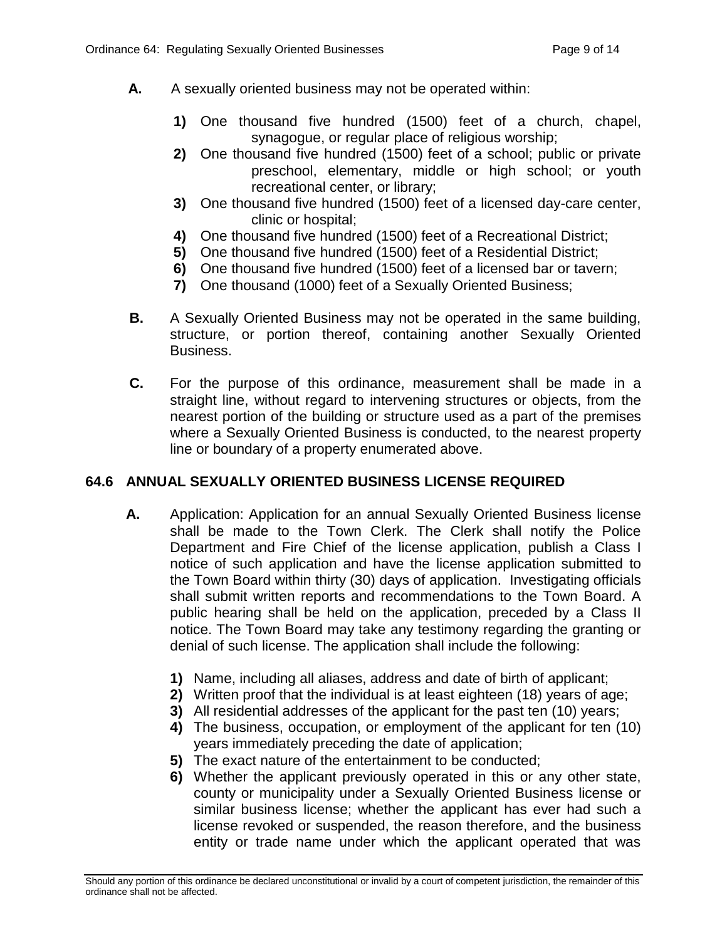- **A.** A sexually oriented business may not be operated within:
	- **1)** One thousand five hundred (1500) feet of a church, chapel, synagogue, or regular place of religious worship;
	- **2)** One thousand five hundred (1500) feet of a school; public or private preschool, elementary, middle or high school; or youth recreational center, or library;
	- **3)** One thousand five hundred (1500) feet of a licensed day-care center, clinic or hospital;
	- **4)** One thousand five hundred (1500) feet of a Recreational District;
	- **5)** One thousand five hundred (1500) feet of a Residential District;
	- **6)** One thousand five hundred (1500) feet of a licensed bar or tavern;
	- **7)** One thousand (1000) feet of a Sexually Oriented Business;
- **B.** A Sexually Oriented Business may not be operated in the same building, structure, or portion thereof, containing another Sexually Oriented Business.
- **C.** For the purpose of this ordinance, measurement shall be made in a straight line, without regard to intervening structures or objects, from the nearest portion of the building or structure used as a part of the premises where a Sexually Oriented Business is conducted, to the nearest property line or boundary of a property enumerated above.

# **64.6 ANNUAL SEXUALLY ORIENTED BUSINESS LICENSE REQUIRED**

- **A.** Application: Application for an annual Sexually Oriented Business license shall be made to the Town Clerk. The Clerk shall notify the Police Department and Fire Chief of the license application, publish a Class I notice of such application and have the license application submitted to the Town Board within thirty (30) days of application. Investigating officials shall submit written reports and recommendations to the Town Board. A public hearing shall be held on the application, preceded by a Class II notice. The Town Board may take any testimony regarding the granting or denial of such license. The application shall include the following:
	- **1)** Name, including all aliases, address and date of birth of applicant;
	- **2)** Written proof that the individual is at least eighteen (18) years of age;
	- **3)** All residential addresses of the applicant for the past ten (10) years;
	- **4)** The business, occupation, or employment of the applicant for ten (10) years immediately preceding the date of application;
	- **5)** The exact nature of the entertainment to be conducted;
	- **6)** Whether the applicant previously operated in this or any other state, county or municipality under a Sexually Oriented Business license or similar business license; whether the applicant has ever had such a license revoked or suspended, the reason therefore, and the business entity or trade name under which the applicant operated that was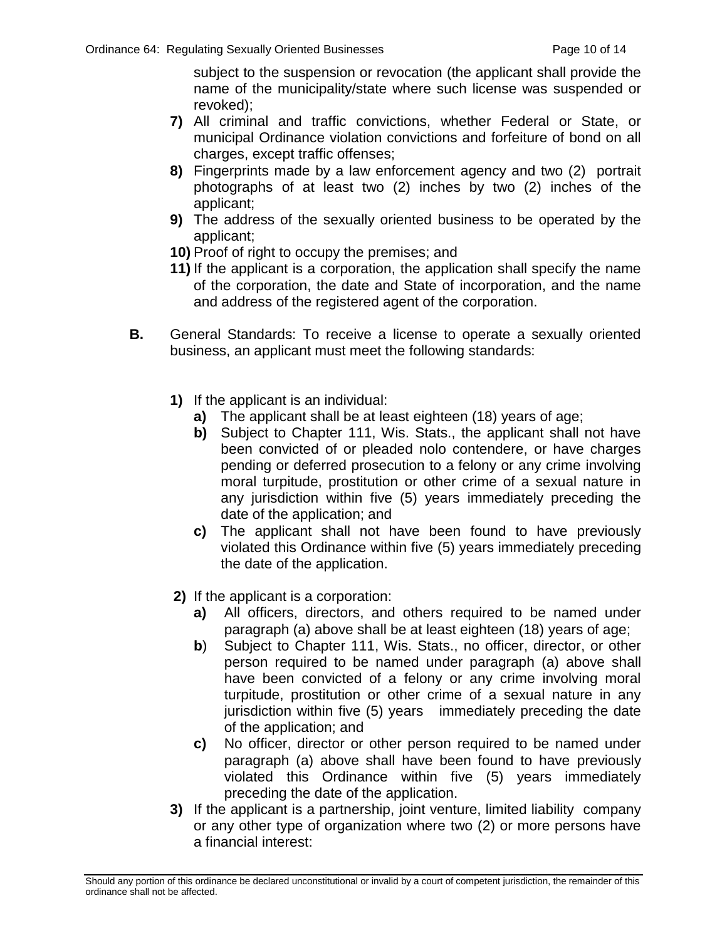subject to the suspension or revocation (the applicant shall provide the name of the municipality/state where such license was suspended or revoked);

- **7)** All criminal and traffic convictions, whether Federal or State, or municipal Ordinance violation convictions and forfeiture of bond on all charges, except traffic offenses;
- **8)** Fingerprints made by a law enforcement agency and two (2) portrait photographs of at least two (2) inches by two (2) inches of the applicant;
- **9)** The address of the sexually oriented business to be operated by the applicant;
- **10)** Proof of right to occupy the premises; and
- **11)** If the applicant is a corporation, the application shall specify the name of the corporation, the date and State of incorporation, and the name and address of the registered agent of the corporation.
- **B.** General Standards: To receive a license to operate a sexually oriented business, an applicant must meet the following standards:
	- **1)** If the applicant is an individual:
		- **a)** The applicant shall be at least eighteen (18) years of age;
		- **b)** Subject to Chapter 111, Wis. Stats., the applicant shall not have been convicted of or pleaded nolo contendere, or have charges pending or deferred prosecution to a felony or any crime involving moral turpitude, prostitution or other crime of a sexual nature in any jurisdiction within five (5) years immediately preceding the date of the application; and
		- **c)** The applicant shall not have been found to have previously violated this Ordinance within five (5) years immediately preceding the date of the application.
	- **2)** If the applicant is a corporation:
		- **a)** All officers, directors, and others required to be named under paragraph (a) above shall be at least eighteen (18) years of age;
		- **b**) Subject to Chapter 111, Wis. Stats., no officer, director, or other person required to be named under paragraph (a) above shall have been convicted of a felony or any crime involving moral turpitude, prostitution or other crime of a sexual nature in any jurisdiction within five (5) years immediately preceding the date of the application; and
		- **c)** No officer, director or other person required to be named under paragraph (a) above shall have been found to have previously violated this Ordinance within five (5) years immediately preceding the date of the application.
	- **3)** If the applicant is a partnership, joint venture, limited liability company or any other type of organization where two (2) or more persons have a financial interest: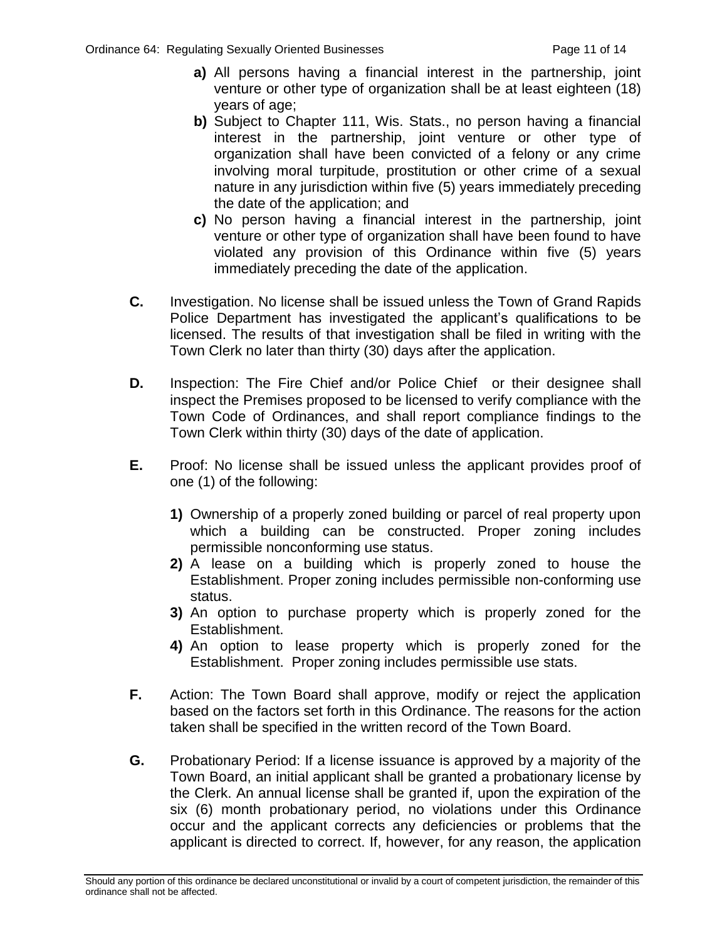- **a)** All persons having a financial interest in the partnership, joint venture or other type of organization shall be at least eighteen (18) years of age;
- **b)** Subject to Chapter 111, Wis. Stats., no person having a financial interest in the partnership, joint venture or other type of organization shall have been convicted of a felony or any crime involving moral turpitude, prostitution or other crime of a sexual nature in any jurisdiction within five (5) years immediately preceding the date of the application; and
- **c)** No person having a financial interest in the partnership, joint venture or other type of organization shall have been found to have violated any provision of this Ordinance within five (5) years immediately preceding the date of the application.
- **C.** Investigation. No license shall be issued unless the Town of Grand Rapids Police Department has investigated the applicant's qualifications to be licensed. The results of that investigation shall be filed in writing with the Town Clerk no later than thirty (30) days after the application.
- **D.** Inspection: The Fire Chief and/or Police Chief or their designee shall inspect the Premises proposed to be licensed to verify compliance with the Town Code of Ordinances, and shall report compliance findings to the Town Clerk within thirty (30) days of the date of application.
- **E.** Proof: No license shall be issued unless the applicant provides proof of one (1) of the following:
	- **1)** Ownership of a properly zoned building or parcel of real property upon which a building can be constructed. Proper zoning includes permissible nonconforming use status.
	- **2)** A lease on a building which is properly zoned to house the Establishment. Proper zoning includes permissible non-conforming use status.
	- **3)** An option to purchase property which is properly zoned for the Establishment.
	- **4)** An option to lease property which is properly zoned for the Establishment. Proper zoning includes permissible use stats.
- **F.** Action: The Town Board shall approve, modify or reject the application based on the factors set forth in this Ordinance. The reasons for the action taken shall be specified in the written record of the Town Board.
- **G.** Probationary Period: If a license issuance is approved by a majority of the Town Board, an initial applicant shall be granted a probationary license by the Clerk. An annual license shall be granted if, upon the expiration of the six (6) month probationary period, no violations under this Ordinance occur and the applicant corrects any deficiencies or problems that the applicant is directed to correct. If, however, for any reason, the application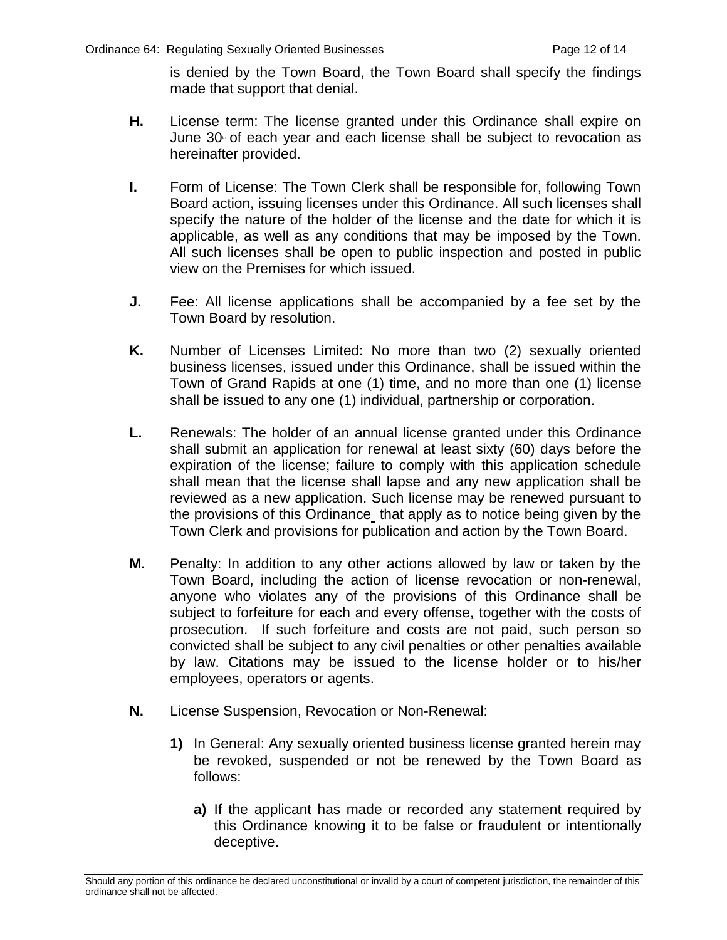is denied by the Town Board, the Town Board shall specify the findings made that support that denial.

- **H.** License term: The license granted under this Ordinance shall expire on June  $30<sup>*</sup>$  of each year and each license shall be subject to revocation as hereinafter provided.
- **I.** Form of License: The Town Clerk shall be responsible for, following Town Board action, issuing licenses under this Ordinance. All such licenses shall specify the nature of the holder of the license and the date for which it is applicable, as well as any conditions that may be imposed by the Town. All such licenses shall be open to public inspection and posted in public view on the Premises for which issued.
- **J.** Fee: All license applications shall be accompanied by a fee set by the Town Board by resolution.
- **K.** Number of Licenses Limited: No more than two (2) sexually oriented business licenses, issued under this Ordinance, shall be issued within the Town of Grand Rapids at one (1) time, and no more than one (1) license shall be issued to any one (1) individual, partnership or corporation.
- **L.** Renewals: The holder of an annual license granted under this Ordinance shall submit an application for renewal at least sixty (60) days before the expiration of the license; failure to comply with this application schedule shall mean that the license shall lapse and any new application shall be reviewed as a new application. Such license may be renewed pursuant to the provisions of this Ordinance that apply as to notice being given by the Town Clerk and provisions for publication and action by the Town Board.
- **M.** Penalty: In addition to any other actions allowed by law or taken by the Town Board, including the action of license revocation or non-renewal, anyone who violates any of the provisions of this Ordinance shall be subject to forfeiture for each and every offense, together with the costs of prosecution. If such forfeiture and costs are not paid, such person so convicted shall be subject to any civil penalties or other penalties available by law. Citations may be issued to the license holder or to his/her employees, operators or agents.
- **N.** License Suspension, Revocation or Non-Renewal:
	- **1)** In General: Any sexually oriented business license granted herein may be revoked, suspended or not be renewed by the Town Board as follows:
		- **a)** If the applicant has made or recorded any statement required by this Ordinance knowing it to be false or fraudulent or intentionally deceptive.

Should any portion of this ordinance be declared unconstitutional or invalid by a court of competent jurisdiction, the remainder of this ordinance shall not be affected.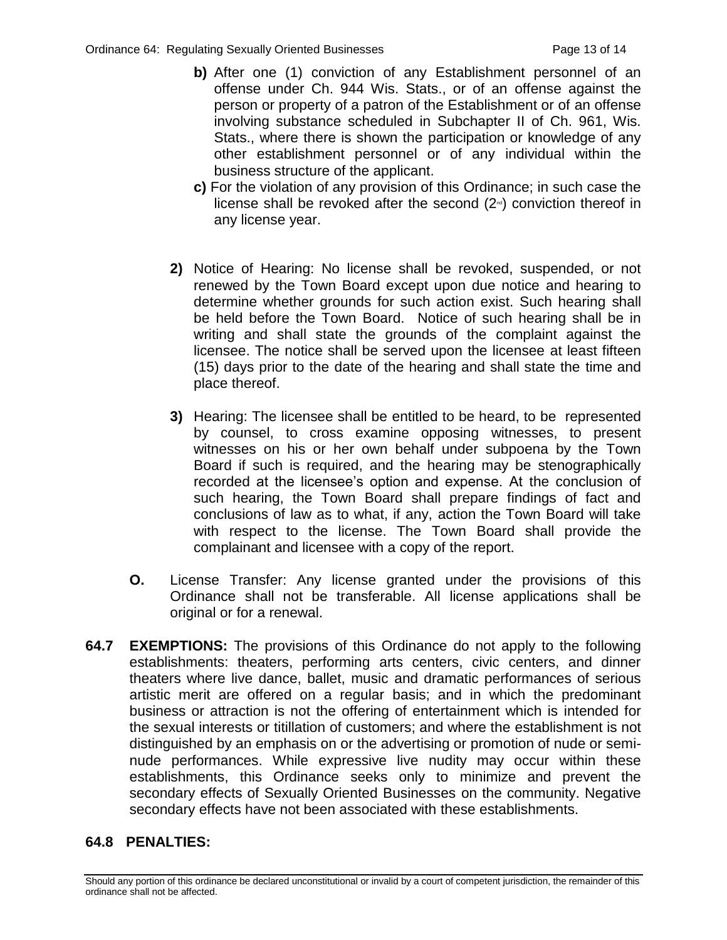- **b)** After one (1) conviction of any Establishment personnel of an offense under Ch. 944 Wis. Stats., or of an offense against the person or property of a patron of the Establishment or of an offense involving substance scheduled in Subchapter II of Ch. 961, Wis. Stats., where there is shown the participation or knowledge of any other establishment personnel or of any individual within the business structure of the applicant.
- **c)** For the violation of any provision of this Ordinance; in such case the license shall be revoked after the second  $(2<sup>\omega</sup>)$  conviction thereof in any license year.
- **2)** Notice of Hearing: No license shall be revoked, suspended, or not renewed by the Town Board except upon due notice and hearing to determine whether grounds for such action exist. Such hearing shall be held before the Town Board. Notice of such hearing shall be in writing and shall state the grounds of the complaint against the licensee. The notice shall be served upon the licensee at least fifteen (15) days prior to the date of the hearing and shall state the time and place thereof.
- **3)** Hearing: The licensee shall be entitled to be heard, to be represented by counsel, to cross examine opposing witnesses, to present witnesses on his or her own behalf under subpoena by the Town Board if such is required, and the hearing may be stenographically recorded at the licensee's option and expense. At the conclusion of such hearing, the Town Board shall prepare findings of fact and conclusions of law as to what, if any, action the Town Board will take with respect to the license. The Town Board shall provide the complainant and licensee with a copy of the report.
- **O.** License Transfer: Any license granted under the provisions of this Ordinance shall not be transferable. All license applications shall be original or for a renewal.
- **64.7 EXEMPTIONS:** The provisions of this Ordinance do not apply to the following establishments: theaters, performing arts centers, civic centers, and dinner theaters where live dance, ballet, music and dramatic performances of serious artistic merit are offered on a regular basis; and in which the predominant business or attraction is not the offering of entertainment which is intended for the sexual interests or titillation of customers; and where the establishment is not distinguished by an emphasis on or the advertising or promotion of nude or seminude performances. While expressive live nudity may occur within these establishments, this Ordinance seeks only to minimize and prevent the secondary effects of Sexually Oriented Businesses on the community. Negative secondary effects have not been associated with these establishments.

# **64.8 PENALTIES:**

Should any portion of this ordinance be declared unconstitutional or invalid by a court of competent jurisdiction, the remainder of this ordinance shall not be affected.